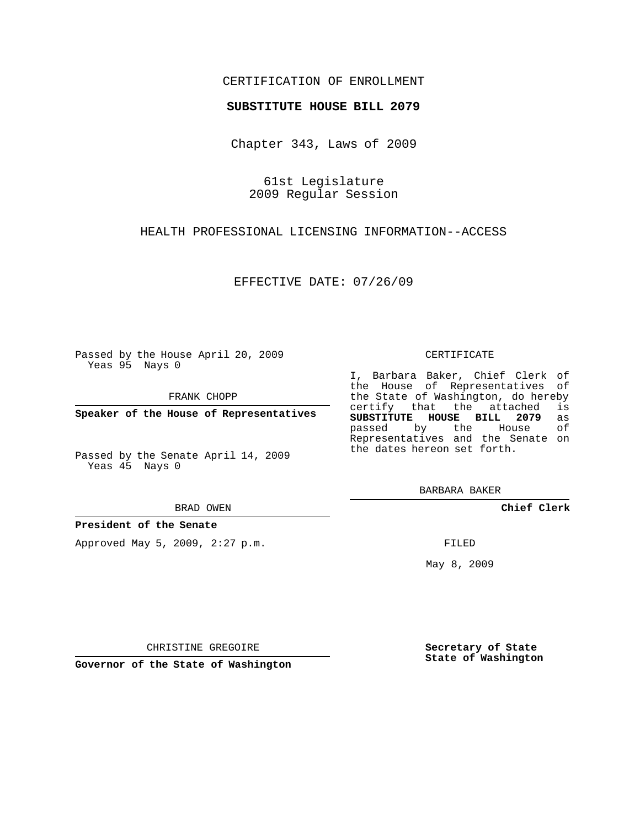## CERTIFICATION OF ENROLLMENT

### **SUBSTITUTE HOUSE BILL 2079**

Chapter 343, Laws of 2009

61st Legislature 2009 Regular Session

HEALTH PROFESSIONAL LICENSING INFORMATION--ACCESS

EFFECTIVE DATE: 07/26/09

Passed by the House April 20, 2009 Yeas 95 Nays 0

FRANK CHOPP

**Speaker of the House of Representatives**

Passed by the Senate April 14, 2009 Yeas 45 Nays 0

#### BRAD OWEN

### **President of the Senate**

Approved May 5, 2009, 2:27 p.m.

#### CERTIFICATE

I, Barbara Baker, Chief Clerk of the House of Representatives of the State of Washington, do hereby<br>certify that the attached is certify that the attached **SUBSTITUTE HOUSE BILL 2079** as passed by the House of Representatives and the Senate on the dates hereon set forth.

BARBARA BAKER

**Chief Clerk**

FILED

May 8, 2009

**Secretary of State State of Washington**

CHRISTINE GREGOIRE

**Governor of the State of Washington**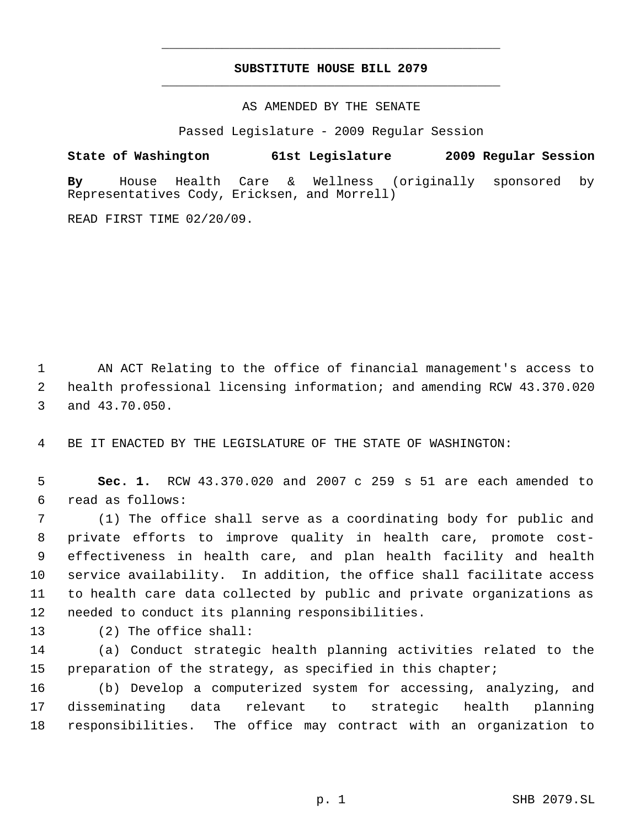# **SUBSTITUTE HOUSE BILL 2079** \_\_\_\_\_\_\_\_\_\_\_\_\_\_\_\_\_\_\_\_\_\_\_\_\_\_\_\_\_\_\_\_\_\_\_\_\_\_\_\_\_\_\_\_\_

\_\_\_\_\_\_\_\_\_\_\_\_\_\_\_\_\_\_\_\_\_\_\_\_\_\_\_\_\_\_\_\_\_\_\_\_\_\_\_\_\_\_\_\_\_

AS AMENDED BY THE SENATE

Passed Legislature - 2009 Regular Session

**State of Washington 61st Legislature 2009 Regular Session By** House Health Care & Wellness (originally sponsored by Representatives Cody, Ericksen, and Morrell)

READ FIRST TIME 02/20/09.

 AN ACT Relating to the office of financial management's access to health professional licensing information; and amending RCW 43.370.020 and 43.70.050.

BE IT ENACTED BY THE LEGISLATURE OF THE STATE OF WASHINGTON:

 **Sec. 1.** RCW 43.370.020 and 2007 c 259 s 51 are each amended to read as follows:

 (1) The office shall serve as a coordinating body for public and private efforts to improve quality in health care, promote cost- effectiveness in health care, and plan health facility and health service availability. In addition, the office shall facilitate access to health care data collected by public and private organizations as needed to conduct its planning responsibilities.

(2) The office shall:

 (a) Conduct strategic health planning activities related to the preparation of the strategy, as specified in this chapter;

 (b) Develop a computerized system for accessing, analyzing, and disseminating data relevant to strategic health planning responsibilities. The office may contract with an organization to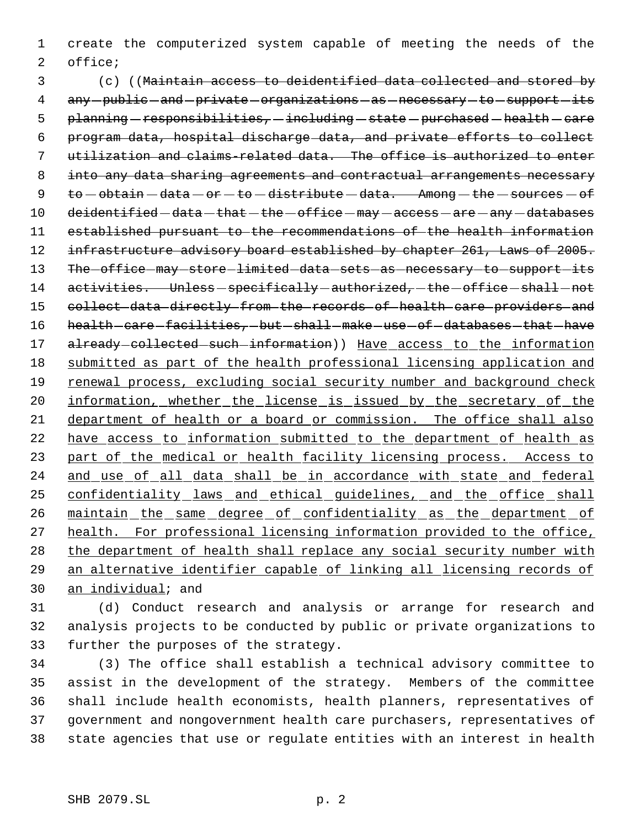1 create the computerized system capable of meeting the needs of the 2 office;

 3 (c) ((Maintain access to deidentified data collected and stored by 4 any-public-and-private-organizations-as-necessary-to-support-its 5 planning - responsibilities, - including - state - purchased - health - care 6 program data, hospital discharge data, and private efforts to collect 7 utilization and claims-related data. The office is authorized to enter 8 into any data sharing agreements and contractual arrangements necessary 9  $to$   $\rightarrow$   $\theta$  obtain  $-\text{data} - \text{or} - \text{to} - \text{distance} + \text{data}$ . Among  $-\text{the} - \text{sources} - \text{of}$ 10 deidentified - data - that - the - office - may - access - are - any - databases 11 established pursuant to the recommendations of the health information 12 infrastructure advisory board established by chapter 261, Laws of 2005. 13 The office may store limited data sets as necessary to support its 14 activities. Unless-specifically-authorized,-the-office-shall-not 15 collect data directly from the records of health care providers and 16 health care facilities, but shall make use of databases that have 17 already-collected-such-information)) Have access to the information 18 submitted as part of the health professional licensing application and 19 renewal process, excluding social security number and background check 20 information, whether the license is issued by the secretary of the 21 department of health or a board or commission. The office shall also 22 have access to information submitted to the department of health as 23 part of the medical or health facility licensing process. Access to 24 and use of all data shall be in accordance with state and federal 25 confidentiality laws and ethical guidelines, and the office shall 26 maintain the same degree of confidentiality as the department of 27 health. For professional licensing information provided to the office, 28 the department of health shall replace any social security number with 29 an alternative identifier capable of linking all licensing records of 30 an individual; and

31 (d) Conduct research and analysis or arrange for research and 32 analysis projects to be conducted by public or private organizations to 33 further the purposes of the strategy.

 (3) The office shall establish a technical advisory committee to assist in the development of the strategy. Members of the committee shall include health economists, health planners, representatives of government and nongovernment health care purchasers, representatives of state agencies that use or regulate entities with an interest in health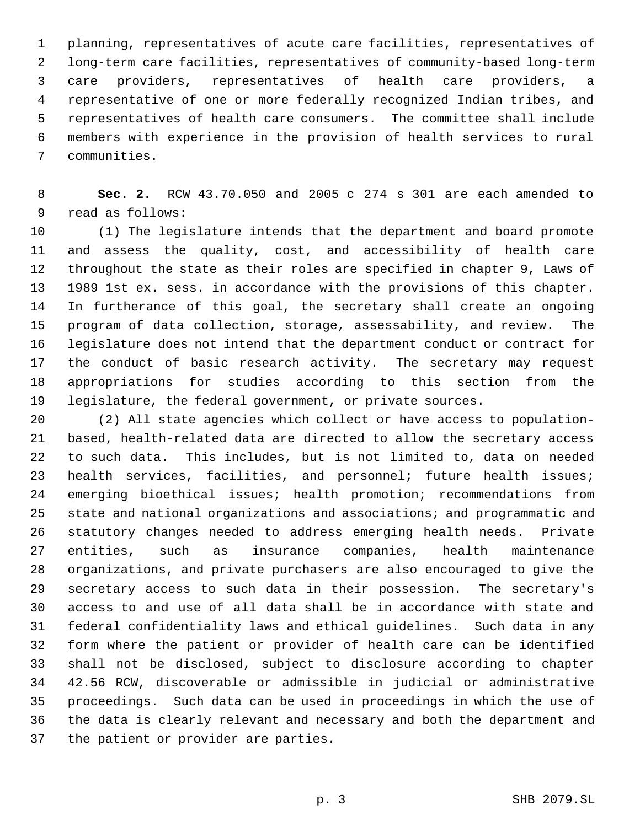planning, representatives of acute care facilities, representatives of long-term care facilities, representatives of community-based long-term care providers, representatives of health care providers, a representative of one or more federally recognized Indian tribes, and representatives of health care consumers. The committee shall include members with experience in the provision of health services to rural communities.

 **Sec. 2.** RCW 43.70.050 and 2005 c 274 s 301 are each amended to read as follows:

 (1) The legislature intends that the department and board promote and assess the quality, cost, and accessibility of health care throughout the state as their roles are specified in chapter 9, Laws of 1989 1st ex. sess. in accordance with the provisions of this chapter. In furtherance of this goal, the secretary shall create an ongoing program of data collection, storage, assessability, and review. The legislature does not intend that the department conduct or contract for the conduct of basic research activity. The secretary may request appropriations for studies according to this section from the legislature, the federal government, or private sources.

 (2) All state agencies which collect or have access to population- based, health-related data are directed to allow the secretary access to such data. This includes, but is not limited to, data on needed health services, facilities, and personnel; future health issues; emerging bioethical issues; health promotion; recommendations from state and national organizations and associations; and programmatic and statutory changes needed to address emerging health needs. Private entities, such as insurance companies, health maintenance organizations, and private purchasers are also encouraged to give the secretary access to such data in their possession. The secretary's access to and use of all data shall be in accordance with state and federal confidentiality laws and ethical guidelines. Such data in any form where the patient or provider of health care can be identified shall not be disclosed, subject to disclosure according to chapter 42.56 RCW, discoverable or admissible in judicial or administrative proceedings. Such data can be used in proceedings in which the use of the data is clearly relevant and necessary and both the department and the patient or provider are parties.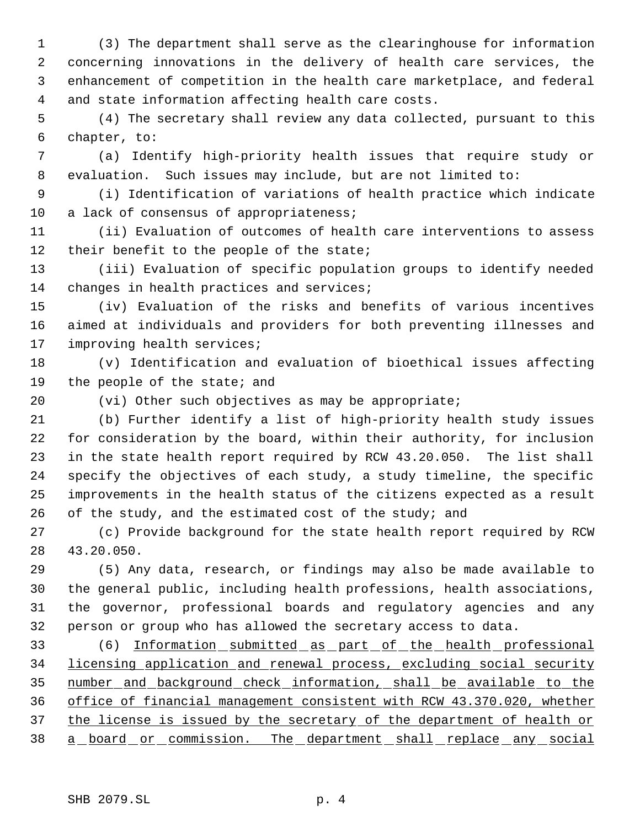(3) The department shall serve as the clearinghouse for information concerning innovations in the delivery of health care services, the enhancement of competition in the health care marketplace, and federal and state information affecting health care costs.

 (4) The secretary shall review any data collected, pursuant to this chapter, to:

 (a) Identify high-priority health issues that require study or evaluation. Such issues may include, but are not limited to:

 (i) Identification of variations of health practice which indicate 10 a lack of consensus of appropriateness;

 (ii) Evaluation of outcomes of health care interventions to assess 12 their benefit to the people of the state;

 (iii) Evaluation of specific population groups to identify needed 14 changes in health practices and services;

 (iv) Evaluation of the risks and benefits of various incentives aimed at individuals and providers for both preventing illnesses and improving health services;

 (v) Identification and evaluation of bioethical issues affecting 19 the people of the state; and

(vi) Other such objectives as may be appropriate;

 (b) Further identify a list of high-priority health study issues for consideration by the board, within their authority, for inclusion in the state health report required by RCW 43.20.050. The list shall specify the objectives of each study, a study timeline, the specific improvements in the health status of the citizens expected as a result 26 of the study, and the estimated cost of the study; and

 (c) Provide background for the state health report required by RCW 43.20.050.

 (5) Any data, research, or findings may also be made available to the general public, including health professions, health associations, the governor, professional boards and regulatory agencies and any person or group who has allowed the secretary access to data.

 (6) Information submitted as part of the health professional licensing application and renewal process, excluding social security number and background check information, shall be available to the office of financial management consistent with RCW 43.370.020, whether 37 the license is issued by the secretary of the department of health or 38 a board or commission. The department shall replace any social